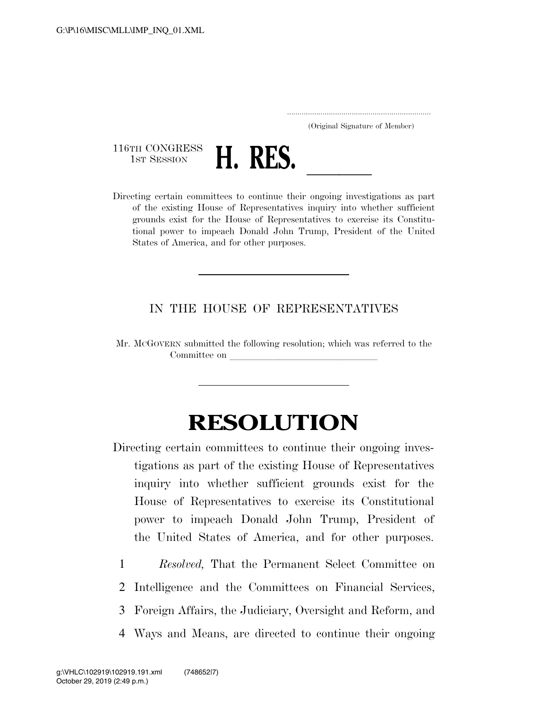..................................................................... (Original Signature of Member)

116TH CONGRESS<br>1st Session



1ST SESSION **H. RES.** <u>Directing certain committees</u> to continue their ongoing investigations as part of the existing House of Representatives inquiry into whether sufficient grounds exist for the House of Representatives to exercise its Constitutional power to impeach Donald John Trump, President of the United States of America, and for other purposes.

## IN THE HOUSE OF REPRESENTATIVES

Mr. MCGOVERN submitted the following resolution; which was referred to the Committee on

## **RESOLUTION**

Directing certain committees to continue their ongoing investigations as part of the existing House of Representatives inquiry into whether sufficient grounds exist for the House of Representatives to exercise its Constitutional power to impeach Donald John Trump, President of the United States of America, and for other purposes.

1 *Resolved,* That the Permanent Select Committee on

- 2 Intelligence and the Committees on Financial Services,
- 3 Foreign Affairs, the Judiciary, Oversight and Reform, and
- 4 Ways and Means, are directed to continue their ongoing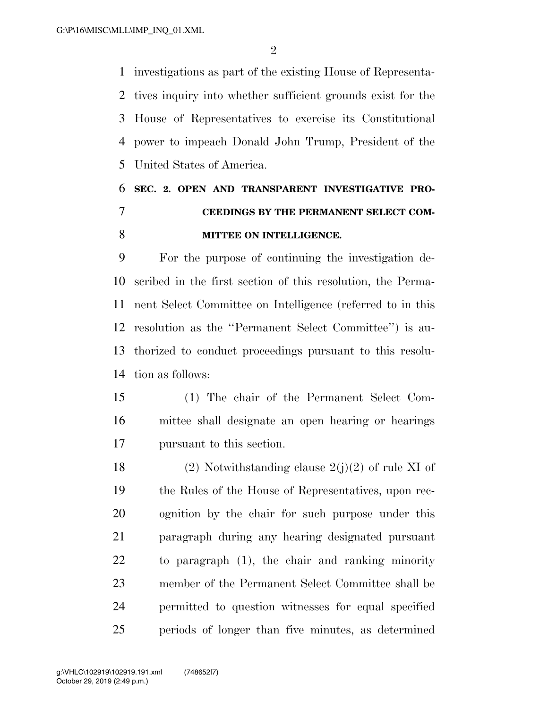$\mathfrak{D}$ 

 investigations as part of the existing House of Representa- tives inquiry into whether sufficient grounds exist for the House of Representatives to exercise its Constitutional power to impeach Donald John Trump, President of the United States of America.

## **SEC. 2. OPEN AND TRANSPARENT INVESTIGATIVE PRO- CEEDINGS BY THE PERMANENT SELECT COM-MITTEE ON INTELLIGENCE.**

 For the purpose of continuing the investigation de- scribed in the first section of this resolution, the Perma- nent Select Committee on Intelligence (referred to in this resolution as the ''Permanent Select Committee'') is au- thorized to conduct proceedings pursuant to this resolu-tion as follows:

 (1) The chair of the Permanent Select Com- mittee shall designate an open hearing or hearings pursuant to this section.

18 (2) Notwithstanding clause  $2(j)(2)$  of rule XI of the Rules of the House of Representatives, upon rec- ognition by the chair for such purpose under this paragraph during any hearing designated pursuant to paragraph (1), the chair and ranking minority member of the Permanent Select Committee shall be permitted to question witnesses for equal specified periods of longer than five minutes, as determined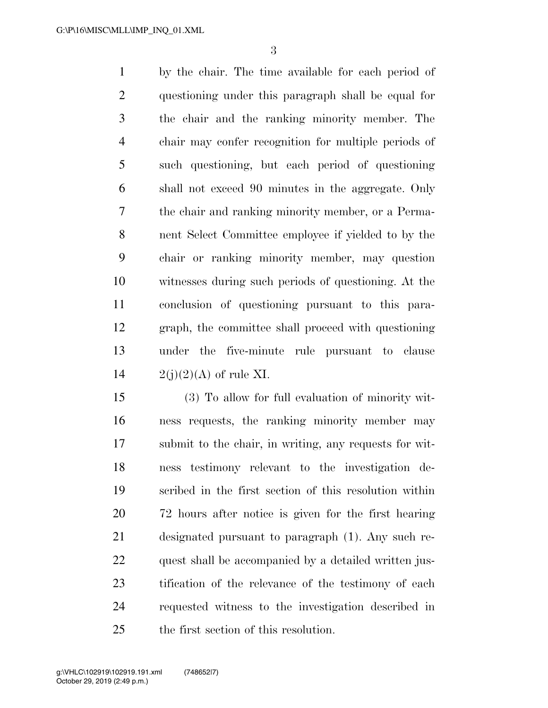by the chair. The time available for each period of questioning under this paragraph shall be equal for the chair and the ranking minority member. The chair may confer recognition for multiple periods of such questioning, but each period of questioning shall not exceed 90 minutes in the aggregate. Only the chair and ranking minority member, or a Perma- nent Select Committee employee if yielded to by the chair or ranking minority member, may question witnesses during such periods of questioning. At the conclusion of questioning pursuant to this para- graph, the committee shall proceed with questioning under the five-minute rule pursuant to clause  $2(j)(2)(A)$  of rule XI.

 (3) To allow for full evaluation of minority wit- ness requests, the ranking minority member may submit to the chair, in writing, any requests for wit- ness testimony relevant to the investigation de- scribed in the first section of this resolution within 72 hours after notice is given for the first hearing designated pursuant to paragraph (1). Any such re-22 quest shall be accompanied by a detailed written jus- tification of the relevance of the testimony of each requested witness to the investigation described in the first section of this resolution.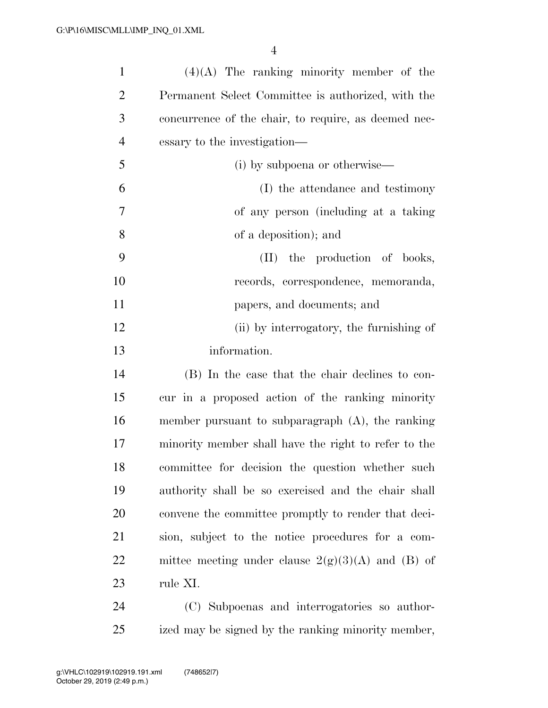| $\mathbf{1}$   | $(4)(A)$ The ranking minority member of the          |
|----------------|------------------------------------------------------|
| $\overline{2}$ | Permanent Select Committee is authorized, with the   |
| 3              | concurrence of the chair, to require, as deemed nec- |
| $\overline{4}$ | essary to the investigation—                         |
| 5              | (i) by subpoena or otherwise—                        |
| 6              | (I) the attendance and testimony                     |
| 7              | of any person (including at a taking                 |
| 8              | of a deposition); and                                |
| 9              | (II) the production of books,                        |
| 10             | records, correspondence, memoranda,                  |
| 11             | papers, and documents; and                           |
| 12             | (ii) by interrogatory, the furnishing of             |
| 13             | information.                                         |
| 14             | (B) In the case that the chair declines to con-      |
| 15             | cur in a proposed action of the ranking minority     |
| 16             | member pursuant to subparagraph $(A)$ , the ranking  |
| 17             | minority member shall have the right to refer to the |
| 18             | committee for decision the question whether such     |
| 19             | authority shall be so exercised and the chair shall  |
| 20             | convene the committee promptly to render that deci-  |
| 21             | sion, subject to the notice procedures for a com-    |
| 22             | mittee meeting under clause $2(g)(3)(A)$ and (B) of  |
| 23             |                                                      |
|                | rule XI.                                             |

ized may be signed by the ranking minority member,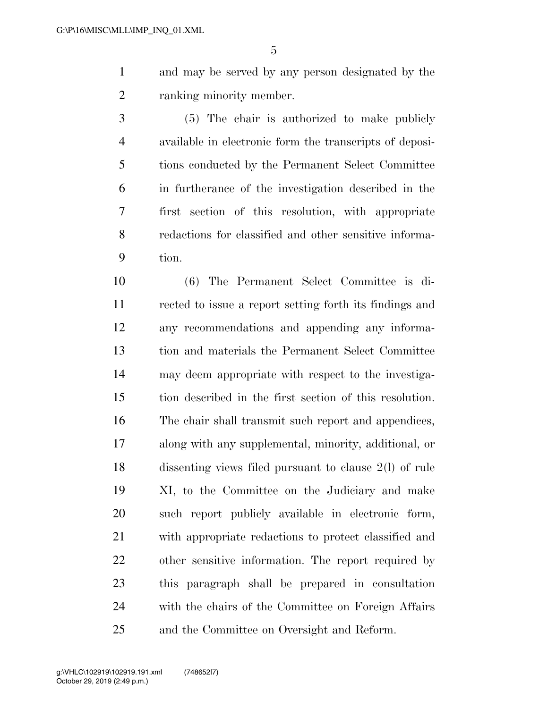and may be served by any person designated by the ranking minority member.

 (5) The chair is authorized to make publicly available in electronic form the transcripts of deposi- tions conducted by the Permanent Select Committee in furtherance of the investigation described in the first section of this resolution, with appropriate redactions for classified and other sensitive informa-tion.

 (6) The Permanent Select Committee is di- rected to issue a report setting forth its findings and any recommendations and appending any informa- tion and materials the Permanent Select Committee may deem appropriate with respect to the investiga- tion described in the first section of this resolution. The chair shall transmit such report and appendices, along with any supplemental, minority, additional, or dissenting views filed pursuant to clause 2(l) of rule XI, to the Committee on the Judiciary and make such report publicly available in electronic form, with appropriate redactions to protect classified and other sensitive information. The report required by this paragraph shall be prepared in consultation with the chairs of the Committee on Foreign Affairs and the Committee on Oversight and Reform.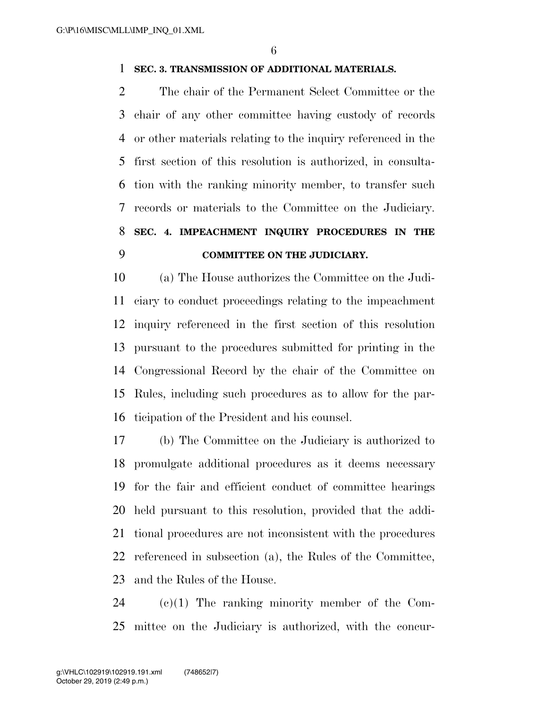## **SEC. 3. TRANSMISSION OF ADDITIONAL MATERIALS.**

 The chair of the Permanent Select Committee or the chair of any other committee having custody of records or other materials relating to the inquiry referenced in the first section of this resolution is authorized, in consulta- tion with the ranking minority member, to transfer such records or materials to the Committee on the Judiciary. **SEC. 4. IMPEACHMENT INQUIRY PROCEDURES IN THE COMMITTEE ON THE JUDICIARY.** 

 (a) The House authorizes the Committee on the Judi- ciary to conduct proceedings relating to the impeachment inquiry referenced in the first section of this resolution pursuant to the procedures submitted for printing in the Congressional Record by the chair of the Committee on Rules, including such procedures as to allow for the par-ticipation of the President and his counsel.

 (b) The Committee on the Judiciary is authorized to promulgate additional procedures as it deems necessary for the fair and efficient conduct of committee hearings held pursuant to this resolution, provided that the addi- tional procedures are not inconsistent with the procedures referenced in subsection (a), the Rules of the Committee, and the Rules of the House.

 (c)(1) The ranking minority member of the Com-mittee on the Judiciary is authorized, with the concur-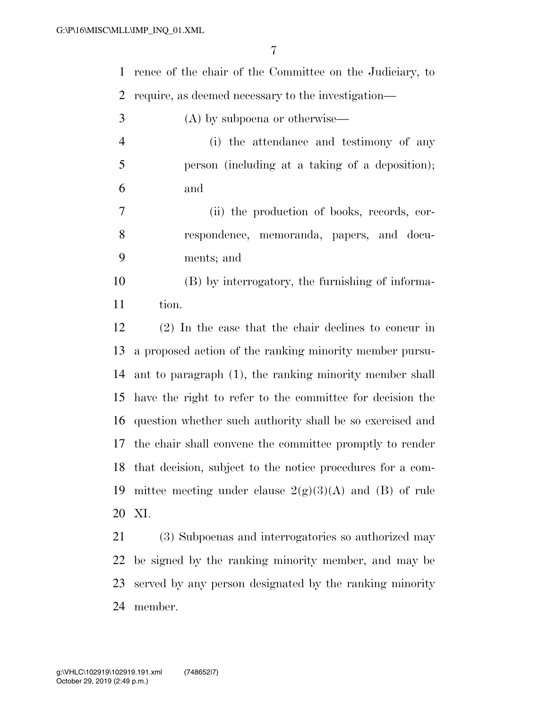rence of the chair of the Committee on the Judiciary, to require, as deemed necessary to the investigation— (A) by subpoena or otherwise— (i) the attendance and testimony of any person (including at a taking of a deposition); and (ii) the production of books, records, cor- respondence, memoranda, papers, and docu- ments; and (B) by interrogatory, the furnishing of informa- tion. (2) In the case that the chair declines to concur in a proposed action of the ranking minority member pursu- ant to paragraph (1), the ranking minority member shall have the right to refer to the committee for decision the question whether such authority shall be so exercised and the chair shall convene the committee promptly to render that decision, subject to the notice procedures for a com-19 mittee meeting under clause  $2(g)(3)(A)$  and (B) of rule XI. (3) Subpoenas and interrogatories so authorized may be signed by the ranking minority member, and may be served by any person designated by the ranking minority member.